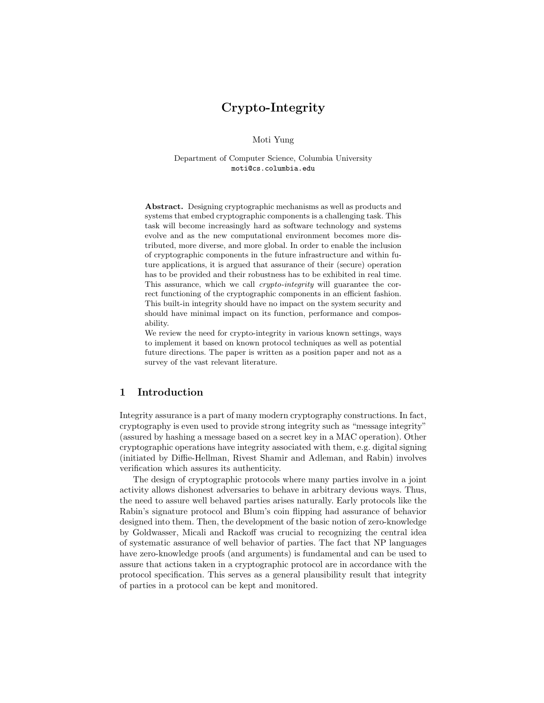# Crypto-Integrity

Moti Yung

Department of Computer Science, Columbia University moti@cs.columbia.edu

Abstract. Designing cryptographic mechanisms as well as products and systems that embed cryptographic components is a challenging task. This task will become increasingly hard as software technology and systems evolve and as the new computational environment becomes more distributed, more diverse, and more global. In order to enable the inclusion of cryptographic components in the future infrastructure and within future applications, it is argued that assurance of their (secure) operation has to be provided and their robustness has to be exhibited in real time. This assurance, which we call crypto-integrity will guarantee the correct functioning of the cryptographic components in an efficient fashion. This built-in integrity should have no impact on the system security and should have minimal impact on its function, performance and composability.

We review the need for crypto-integrity in various known settings, ways to implement it based on known protocol techniques as well as potential future directions. The paper is written as a position paper and not as a survey of the vast relevant literature.

# 1 Introduction

Integrity assurance is a part of many modern cryptography constructions. In fact, cryptography is even used to provide strong integrity such as "message integrity" (assured by hashing a message based on a secret key in a MAC operation). Other cryptographic operations have integrity associated with them, e.g. digital signing (initiated by Diffie-Hellman, Rivest Shamir and Adleman, and Rabin) involves verification which assures its authenticity.

The design of cryptographic protocols where many parties involve in a joint activity allows dishonest adversaries to behave in arbitrary devious ways. Thus, the need to assure well behaved parties arises naturally. Early protocols like the Rabin's signature protocol and Blum's coin flipping had assurance of behavior designed into them. Then, the development of the basic notion of zero-knowledge by Goldwasser, Micali and Rackoff was crucial to recognizing the central idea of systematic assurance of well behavior of parties. The fact that NP languages have zero-knowledge proofs (and arguments) is fundamental and can be used to assure that actions taken in a cryptographic protocol are in accordance with the protocol specification. This serves as a general plausibility result that integrity of parties in a protocol can be kept and monitored.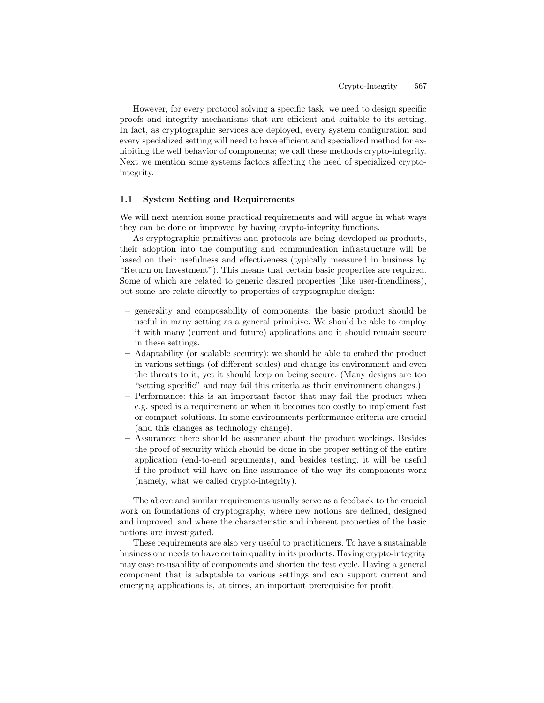However, for every protocol solving a specific task, we need to design specific proofs and integrity mechanisms that are efficient and suitable to its setting. In fact, as cryptographic services are deployed, every system configuration and every specialized setting will need to have efficient and specialized method for exhibiting the well behavior of components; we call these methods crypto-integrity. Next we mention some systems factors affecting the need of specialized cryptointegrity.

# 1.1 System Setting and Requirements

We will next mention some practical requirements and will argue in what ways they can be done or improved by having crypto-integrity functions.

As cryptographic primitives and protocols are being developed as products, their adoption into the computing and communication infrastructure will be based on their usefulness and effectiveness (typically measured in business by "Return on Investment"). This means that certain basic properties are required. Some of which are related to generic desired properties (like user-friendliness), but some are relate directly to properties of cryptographic design:

- generality and composability of components: the basic product should be useful in many setting as a general primitive. We should be able to employ it with many (current and future) applications and it should remain secure in these settings.
- Adaptability (or scalable security): we should be able to embed the product in various settings (of different scales) and change its environment and even the threats to it, yet it should keep on being secure. (Many designs are too "setting specific" and may fail this criteria as their environment changes.)
- Performance: this is an important factor that may fail the product when e.g. speed is a requirement or when it becomes too costly to implement fast or compact solutions. In some environments performance criteria are crucial (and this changes as technology change).
- Assurance: there should be assurance about the product workings. Besides the proof of security which should be done in the proper setting of the entire application (end-to-end arguments), and besides testing, it will be useful if the product will have on-line assurance of the way its components work (namely, what we called crypto-integrity).

The above and similar requirements usually serve as a feedback to the crucial work on foundations of cryptography, where new notions are defined, designed and improved, and where the characteristic and inherent properties of the basic notions are investigated.

These requirements are also very useful to practitioners. To have a sustainable business one needs to have certain quality in its products. Having crypto-integrity may ease re-usability of components and shorten the test cycle. Having a general component that is adaptable to various settings and can support current and emerging applications is, at times, an important prerequisite for profit.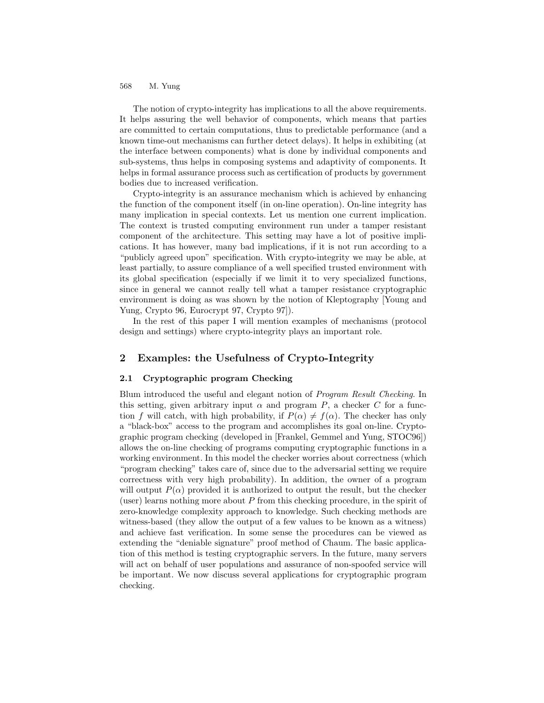#### 568 M. Yung

The notion of crypto-integrity has implications to all the above requirements. It helps assuring the well behavior of components, which means that parties are committed to certain computations, thus to predictable performance (and a known time-out mechanisms can further detect delays). It helps in exhibiting (at the interface between components) what is done by individual components and sub-systems, thus helps in composing systems and adaptivity of components. It helps in formal assurance process such as certification of products by government bodies due to increased verification.

Crypto-integrity is an assurance mechanism which is achieved by enhancing the function of the component itself (in on-line operation). On-line integrity has many implication in special contexts. Let us mention one current implication. The context is trusted computing environment run under a tamper resistant component of the architecture. This setting may have a lot of positive implications. It has however, many bad implications, if it is not run according to a "publicly agreed upon" specification. With crypto-integrity we may be able, at least partially, to assure compliance of a well specified trusted environment with its global specification (especially if we limit it to very specialized functions, since in general we cannot really tell what a tamper resistance cryptographic environment is doing as was shown by the notion of Kleptography [Young and Yung, Crypto 96, Eurocrypt 97, Crypto 97]).

In the rest of this paper I will mention examples of mechanisms (protocol design and settings) where crypto-integrity plays an important role.

# 2 Examples: the Usefulness of Crypto-Integrity

### 2.1 Cryptographic program Checking

Blum introduced the useful and elegant notion of Program Result Checking. In this setting, given arbitrary input  $\alpha$  and program P, a checker C for a function f will catch, with high probability, if  $P(\alpha) \neq f(\alpha)$ . The checker has only a "black-box" access to the program and accomplishes its goal on-line. Cryptographic program checking (developed in [Frankel, Gemmel and Yung, STOC96]) allows the on-line checking of programs computing cryptographic functions in a working environment. In this model the checker worries about correctness (which "program checking" takes care of, since due to the adversarial setting we require correctness with very high probability). In addition, the owner of a program will output  $P(\alpha)$  provided it is authorized to output the result, but the checker (user) learns nothing more about  $P$  from this checking procedure, in the spirit of zero-knowledge complexity approach to knowledge. Such checking methods are witness-based (they allow the output of a few values to be known as a witness) and achieve fast verification. In some sense the procedures can be viewed as extending the "deniable signature" proof method of Chaum. The basic application of this method is testing cryptographic servers. In the future, many servers will act on behalf of user populations and assurance of non-spoofed service will be important. We now discuss several applications for cryptographic program checking.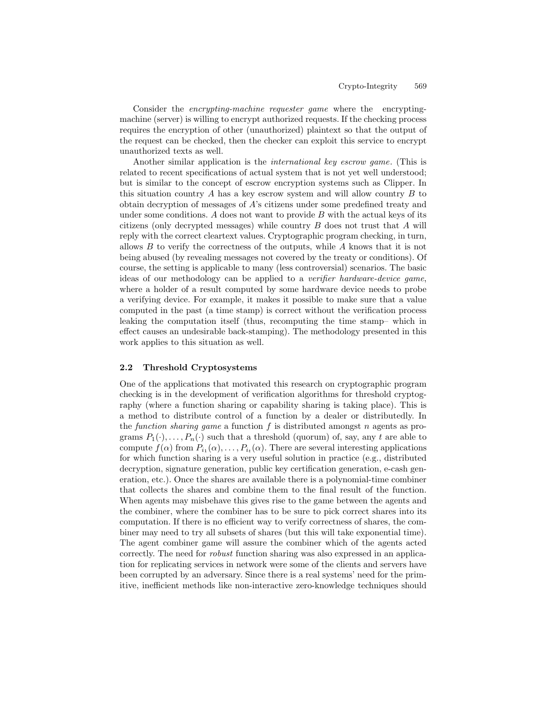Consider the encrypting-machine requester game where the encryptingmachine (server) is willing to encrypt authorized requests. If the checking process requires the encryption of other (unauthorized) plaintext so that the output of the request can be checked, then the checker can exploit this service to encrypt unauthorized texts as well.

Another similar application is the international key escrow game. (This is related to recent specifications of actual system that is not yet well understood; but is similar to the concept of escrow encryption systems such as Clipper. In this situation country  $A$  has a key escrow system and will allow country  $B$  to obtain decryption of messages of A's citizens under some predefined treaty and under some conditions. A does not want to provide  $B$  with the actual keys of its citizens (only decrypted messages) while country  $B$  does not trust that  $A$  will reply with the correct cleartext values. Cryptographic program checking, in turn, allows  $B$  to verify the correctness of the outputs, while  $A$  knows that it is not being abused (by revealing messages not covered by the treaty or conditions). Of course, the setting is applicable to many (less controversial) scenarios. The basic ideas of our methodology can be applied to a verifier hardware-device game, where a holder of a result computed by some hardware device needs to probe a verifying device. For example, it makes it possible to make sure that a value computed in the past (a time stamp) is correct without the verification process leaking the computation itself (thus, recomputing the time stamp– which in effect causes an undesirable back-stamping). The methodology presented in this work applies to this situation as well.

## 2.2 Threshold Cryptosystems

One of the applications that motivated this research on cryptographic program checking is in the development of verification algorithms for threshold cryptography (where a function sharing or capability sharing is taking place). This is a method to distribute control of a function by a dealer or distributedly. In the function sharing game a function  $f$  is distributed amongst  $n$  agents as programs  $P_1(\cdot), \ldots, P_n(\cdot)$  such that a threshold (quorum) of, say, any t are able to compute  $f(\alpha)$  from  $P_{i_1}(\alpha), \ldots, P_{i_t}(\alpha)$ . There are several interesting applications for which function sharing is a very useful solution in practice (e.g., distributed decryption, signature generation, public key certification generation, e-cash generation, etc.). Once the shares are available there is a polynomial-time combiner that collects the shares and combine them to the final result of the function. When agents may misbehave this gives rise to the game between the agents and the combiner, where the combiner has to be sure to pick correct shares into its computation. If there is no efficient way to verify correctness of shares, the combiner may need to try all subsets of shares (but this will take exponential time). The agent combiner game will assure the combiner which of the agents acted correctly. The need for robust function sharing was also expressed in an application for replicating services in network were some of the clients and servers have been corrupted by an adversary. Since there is a real systems' need for the primitive, inefficient methods like non-interactive zero-knowledge techniques should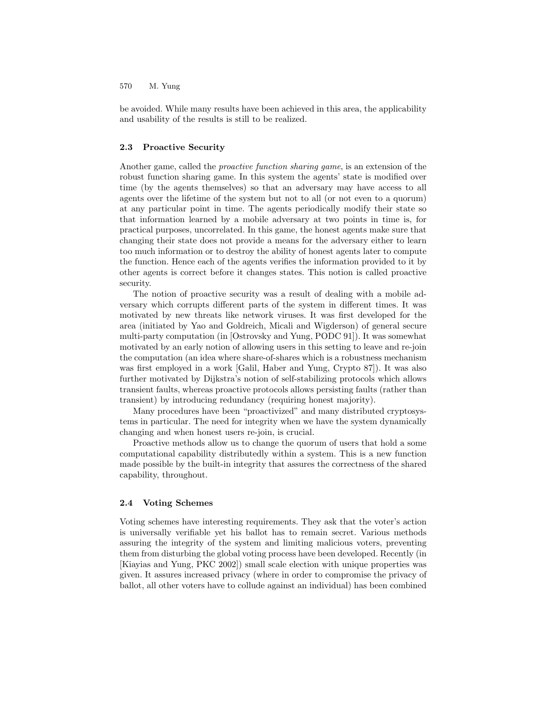#### 570 M. Yung

be avoided. While many results have been achieved in this area, the applicability and usability of the results is still to be realized.

## 2.3 Proactive Security

Another game, called the *proactive function sharing game*, is an extension of the robust function sharing game. In this system the agents' state is modified over time (by the agents themselves) so that an adversary may have access to all agents over the lifetime of the system but not to all (or not even to a quorum) at any particular point in time. The agents periodically modify their state so that information learned by a mobile adversary at two points in time is, for practical purposes, uncorrelated. In this game, the honest agents make sure that changing their state does not provide a means for the adversary either to learn too much information or to destroy the ability of honest agents later to compute the function. Hence each of the agents verifies the information provided to it by other agents is correct before it changes states. This notion is called proactive security.

The notion of proactive security was a result of dealing with a mobile adversary which corrupts different parts of the system in different times. It was motivated by new threats like network viruses. It was first developed for the area (initiated by Yao and Goldreich, Micali and Wigderson) of general secure multi-party computation (in [Ostrovsky and Yung, PODC 91]). It was somewhat motivated by an early notion of allowing users in this setting to leave and re-join the computation (an idea where share-of-shares which is a robustness mechanism was first employed in a work [Galil, Haber and Yung, Crypto 87]). It was also further motivated by Dijkstra's notion of self-stabilizing protocols which allows transient faults, whereas proactive protocols allows persisting faults (rather than transient) by introducing redundancy (requiring honest majority).

Many procedures have been "proactivized" and many distributed cryptosystems in particular. The need for integrity when we have the system dynamically changing and when honest users re-join, is crucial.

Proactive methods allow us to change the quorum of users that hold a some computational capability distributedly within a system. This is a new function made possible by the built-in integrity that assures the correctness of the shared capability, throughout.

# 2.4 Voting Schemes

Voting schemes have interesting requirements. They ask that the voter's action is universally verifiable yet his ballot has to remain secret. Various methods assuring the integrity of the system and limiting malicious voters, preventing them from disturbing the global voting process have been developed. Recently (in [Kiayias and Yung, PKC 2002]) small scale election with unique properties was given. It assures increased privacy (where in order to compromise the privacy of ballot, all other voters have to collude against an individual) has been combined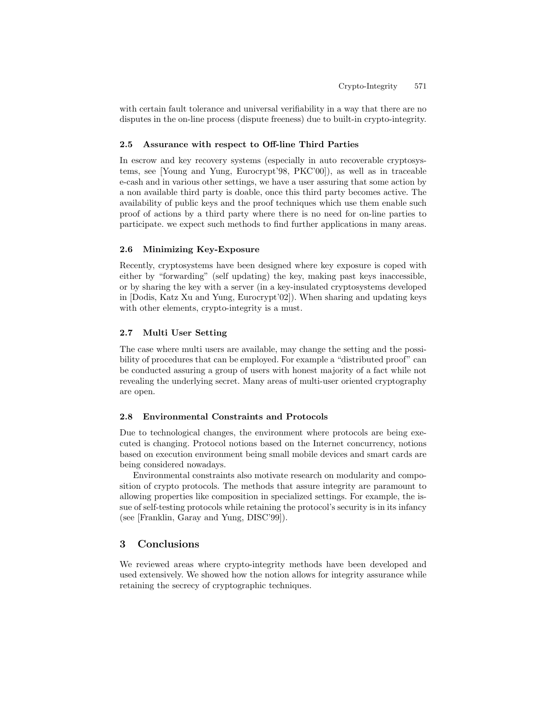with certain fault tolerance and universal verifiability in a way that there are no disputes in the on-line process (dispute freeness) due to built-in crypto-integrity.

## 2.5 Assurance with respect to Off-line Third Parties

In escrow and key recovery systems (especially in auto recoverable cryptosystems, see [Young and Yung, Eurocrypt'98, PKC'00]), as well as in traceable e-cash and in various other settings, we have a user assuring that some action by a non available third party is doable, once this third party becomes active. The availability of public keys and the proof techniques which use them enable such proof of actions by a third party where there is no need for on-line parties to participate. we expect such methods to find further applications in many areas.

# 2.6 Minimizing Key-Exposure

Recently, cryptosystems have been designed where key exposure is coped with either by "forwarding" (self updating) the key, making past keys inaccessible, or by sharing the key with a server (in a key-insulated cryptosystems developed in [Dodis, Katz Xu and Yung, Eurocrypt'02]). When sharing and updating keys with other elements, crypto-integrity is a must.

# 2.7 Multi User Setting

The case where multi users are available, may change the setting and the possibility of procedures that can be employed. For example a "distributed proof" can be conducted assuring a group of users with honest majority of a fact while not revealing the underlying secret. Many areas of multi-user oriented cryptography are open.

#### 2.8 Environmental Constraints and Protocols

Due to technological changes, the environment where protocols are being executed is changing. Protocol notions based on the Internet concurrency, notions based on execution environment being small mobile devices and smart cards are being considered nowadays.

Environmental constraints also motivate research on modularity and composition of crypto protocols. The methods that assure integrity are paramount to allowing properties like composition in specialized settings. For example, the issue of self-testing protocols while retaining the protocol's security is in its infancy (see [Franklin, Garay and Yung, DISC'99]).

# 3 Conclusions

We reviewed areas where crypto-integrity methods have been developed and used extensively. We showed how the notion allows for integrity assurance while retaining the secrecy of cryptographic techniques.